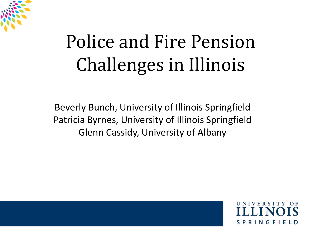

## Police and Fire Pension Challenges in Illinois

Beverly Bunch, University of Illinois Springfield Patricia Byrnes, University of Illinois Springfield Glenn Cassidy, University of Albany

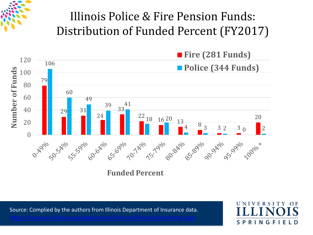



**Funded Percent**

Source: Complied by the authors from Illinois Department of Insurance data.

**SPRINGFIE**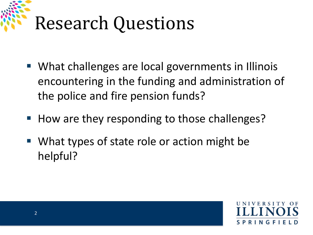

- What challenges are local governments in Illinois encountering in the funding and administration of the police and fire pension funds?
- How are they responding to those challenges?
- What types of state role or action might be helpful?

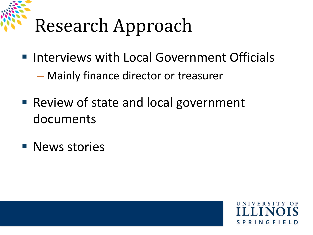# Research Approach

- **Interviews with Local Government Officials** – Mainly finance director or treasurer
- Review of state and local government documents
- **News stories**

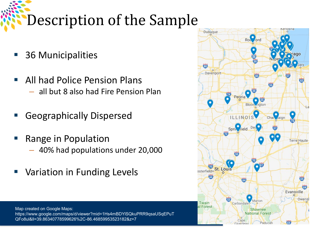# Description of the Sample

- 36 Municipalities
- **All had Police Pension Plans** – all but 8 also had Fire Pension Plan
- Geographically Dispersed
- Range in Population
	- 40% had populations under 20,000
- Variation in Funding Levels



Map created on Google Maps: https://www.google.com/maps/d/viewer?mid=1Hs4mBDYlSQkuPRR9qsaUSqEPuT QFo8ul&ll=39.86340778599626%2C-86.46859953523182&z=7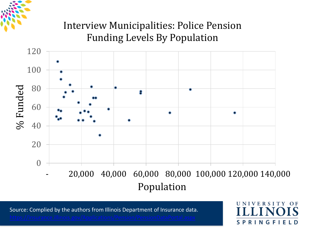

#### Interview Municipalities: Police Pension Funding Levels By Population



Source: Complied by the authors from Illinois Department of Insurance data.

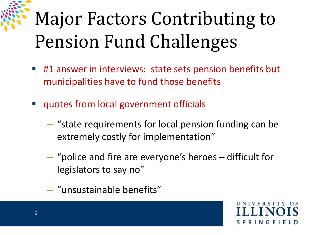# Major Factors Contributing to Pension Fund Challenges

- #1 answer in interviews: state sets pension benefits but municipalities have to fund those benefits
- quotes from local government officials
	- "state requirements for local pension funding can be extremely costly for implementation"
	- "police and fire are everyone's heroes difficult for legislators to say no"
	- "unsustainable benefits"

RINGF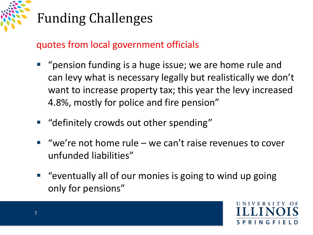### Funding Challenges

quotes from local government officials

- **•** "pension funding is a huge issue; we are home rule and can levy what is necessary legally but realistically we don't want to increase property tax; this year the levy increased 4.8%, mostly for police and fire pension"
- **"** "definitely crowds out other spending"
- $\blacksquare$  "we're not home rule we can't raise revenues to cover unfunded liabilities"
- "eventually all of our monies is going to wind up going only for pensions"

RINGF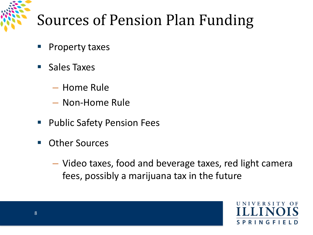

### Sources of Pension Plan Funding

- Property taxes
- Sales Taxes
	- Home Rule
	- Non-Home Rule
- Public Safety Pension Fees
- Other Sources
	- Video taxes, food and beverage taxes, red light camera fees, possibly a marijuana tax in the future

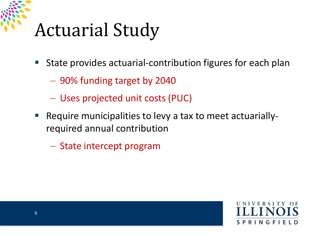# Actuarial Study

- State provides actuarial-contribution figures for each plan
	- 90% funding target by 2040
	- Uses projected unit costs (PUC)
- Require municipalities to levy a tax to meet actuariallyrequired annual contribution
	- State intercept program

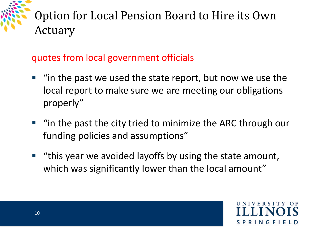

#### Option for Local Pension Board to Hire its Own Actuary

- $\blacksquare$  "in the past we used the state report, but now we use the local report to make sure we are meeting our obligations properly"
- $\blacksquare$  "in the past the city tried to minimize the ARC through our funding policies and assumptions"
- **T** "this year we avoided layoffs by using the state amount, which was significantly lower than the local amount"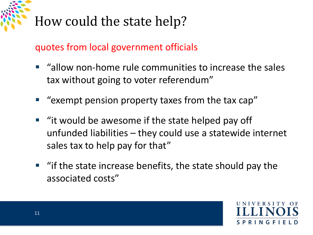### How could the state help?

- "allow non-home rule communities to increase the sales tax without going to voter referendum"
- "exempt pension property taxes from the tax cap"
- "it would be awesome if the state helped pay off unfunded liabilities – they could use a statewide internet sales tax to help pay for that"
- "if the state increase benefits, the state should pay the associated costs"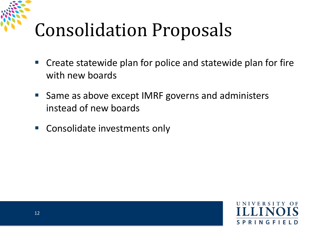# Consolidation Proposals

- Create statewide plan for police and statewide plan for fire with new boards
- Same as above except IMRF governs and administers instead of new boards
- **EX Consolidate investments only**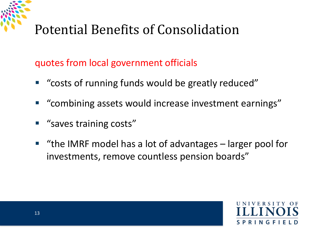### Potential Benefits of Consolidation

- "costs of running funds would be greatly reduced"
- "combining assets would increase investment earnings"
- "saves training costs"
- "the IMRF model has a lot of advantages larger pool for investments, remove countless pension boards"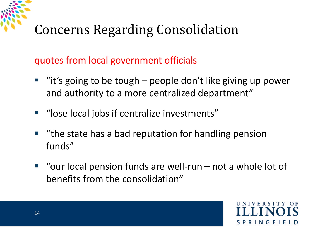### Concerns Regarding Consolidation

- "it's going to be tough people don't like giving up power and authority to a more centralized department"
- "lose local jobs if centralize investments"
- "the state has a bad reputation for handling pension funds"
- $\blacksquare$  "our local pension funds are well-run not a whole lot of benefits from the consolidation"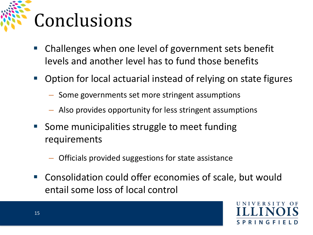

- Challenges when one level of government sets benefit levels and another level has to fund those benefits
- Option for local actuarial instead of relying on state figures
	- Some governments set more stringent assumptions
	- Also provides opportunity for less stringent assumptions
- Some municipalities struggle to meet funding requirements
	- Officials provided suggestions for state assistance
- Consolidation could offer economies of scale, but would entail some loss of local control

**RINGF**